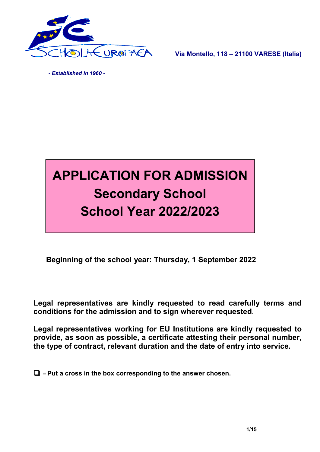

Via Montello, 118 – 21100 VARESE (Italia)

 *- Established in 1960 -*



Beginning of the school year: Thursday, 1 September 2022

Legal representatives are kindly requested to read carefully terms and conditions for the admission and to sign wherever requested.

Legal representatives working for EU Institutions are kindly requested to provide, as soon as possible, a certificate attesting their personal number, the type of contract, relevant duration and the date of entry into service.

 $\Box$  = Put a cross in the box corresponding to the answer chosen.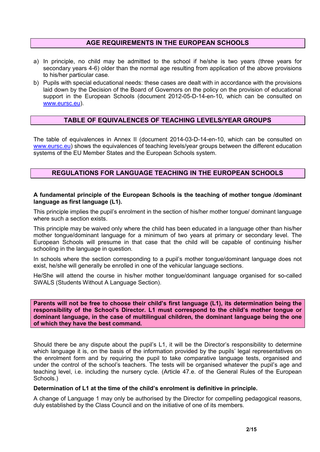#### AGE REQUIREMENTS IN THE EUROPEAN SCHOOLS

- a) In principle, no child may be admitted to the school if he/she is two years (three years for secondary years 4-6) older than the normal age resulting from application of the above provisions to his/her particular case.
- b) Pupils with special educational needs: these cases are dealt with in accordance with the provisions laid down by the Decision of the Board of Governors on the policy on the provision of educational support in the European Schools (document 2012-05-D-14-en-10, which can be consulted on www.eursc.eu).

### TABLE OF EQUIVALENCES OF TEACHING LEVELS/YEAR GROUPS

The table of equivalences in Annex II (document 2014-03-D-14-en-10, which can be consulted on www.eursc.eu) shows the equivalences of teaching levels/year groups between the different education systems of the EU Member States and the European Schools system.

### REGULATIONS FOR LANGUAGE TEACHING IN THE EUROPEAN SCHOOLS

#### A fundamental principle of the European Schools is the teaching of mother tongue /dominant language as first language (L1).

This principle implies the pupil's enrolment in the section of his/her mother tongue/ dominant language where such a section exists.

This principle may be waived only where the child has been educated in a language other than his/her mother tongue/dominant language for a minimum of two years at primary or secondary level. The European Schools will presume in that case that the child will be capable of continuing his/her schooling in the language in question.

In schools where the section corresponding to a pupil's mother tongue/dominant language does not exist, he/she will generally be enrolled in one of the vehicular language sections.

He/She will attend the course in his/her mother tongue/dominant language organised for so-called SWALS (Students Without A Language Section).

Parents will not be free to choose their child's first language (L1), its determination being the responsibility of the School's Director. L1 must correspond to the child's mother tongue or dominant language, in the case of multilingual children, the dominant language being the one of which they have the best command.

Should there be any dispute about the pupil's L1, it will be the Director's responsibility to determine which language it is, on the basis of the information provided by the pupils' legal representatives on the enrolment form and by requiring the pupil to take comparative language tests, organised and under the control of the school's teachers. The tests will be organised whatever the pupil's age and teaching level, i.e. including the nursery cycle. (Article 47.e. of the General Rules of the European Schools.)

#### Determination of L1 at the time of the child's enrolment is definitive in principle.

A change of Language 1 may only be authorised by the Director for compelling pedagogical reasons, duly established by the Class Council and on the initiative of one of its members.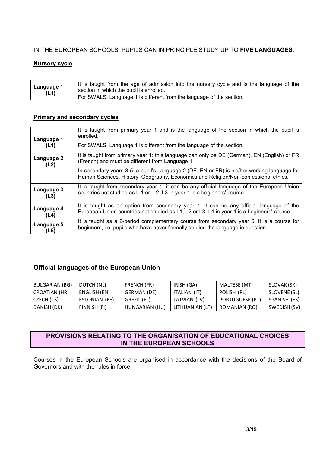### IN THE EUROPEAN SCHOOLS, PUPILS CAN IN PRINCIPLE STUDY UP TO FIVE LANGUAGES.

#### Nursery cycle

| It is taught from the age of admission into the nursery cycle and is the language of the<br>Language 1<br>section in which the pupil is enrolled.<br>(L1)<br>For SWALS, Language 1 is different from the language of the section. |  |
|-----------------------------------------------------------------------------------------------------------------------------------------------------------------------------------------------------------------------------------|--|
|-----------------------------------------------------------------------------------------------------------------------------------------------------------------------------------------------------------------------------------|--|

#### Primary and secondary cycles

| Language 1<br>(L1) | It is taught from primary year 1 and is the language of the section in which the pupil is<br>enrolled.<br>For SWALS, Language 1 is different from the language of the section.     |
|--------------------|------------------------------------------------------------------------------------------------------------------------------------------------------------------------------------|
| Language 2         | It is taught from primary year 1: this language can only be DE (German), EN (English) or FR                                                                                        |
| (L2)               | (French) and must be different from Language 1.                                                                                                                                    |
|                    | In secondary years 3-5, a pupil's Language 2 (DE, EN or FR) is his/her working language for<br>Human Sciences, History, Geography, Economics and Religion/Non-confessional ethics. |
| Language 3         | It is taught from secondary year 1; it can be any official language of the European Union                                                                                          |
| (L3)               | countries not studied as L 1 or L 2. L3 in year 1 is a beginners' course.                                                                                                          |
| Language 4         | It is taught as an option from secondary year 4; it can be any official language of the                                                                                            |
| (L4)               | European Union countries not studied as L1, L2 or L3. L4 in year 4 is a beginners' course.                                                                                         |
| Language 5         | It is taught as a 2-period complementary course from secondary year 6. It is a course for                                                                                          |
| (L5)               | beginners, i.e. pupils who have never formally studied the language in question.                                                                                                   |

### Official languages of the European Union

| BULGARIAN (BG) | DUTCH (NL)    | FRENCH (FR)    | IRISH (GA)      | MALTESE (MT)    | SLOVAK (SK)  |
|----------------|---------------|----------------|-----------------|-----------------|--------------|
| CROATIAN (HR)  | ENGLISH (EN)  | GERMAN (DE)    | ITALIAN (IT)    | POLISH (PL)     | SLOVENE (SL) |
| CZECH (CS)     | ESTONIAN (EE) | GREEK (EL)     | LATVIAN (LV)    | PORTUGUESE (PT) | SPANISH (ES) |
| DANISH (DK)    | FINNISH (FI)  | HUNGARIAN (HU) | LITHUANIAN (LT) | ROMANIAN (RO)   | SWEDISH (SV) |

### PROVISIONS RELATING TO THE ORGANISATION OF EDUCATIONAL CHOICES IN THE EUROPEAN SCHOOLS

Courses in the European Schools are organised in accordance with the decisions of the Board of Governors and with the rules in force.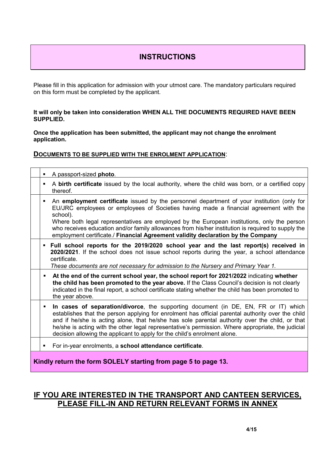# INSTRUCTIONS

Please fill in this application for admission with your utmost care. The mandatory particulars required on this form must be completed by the applicant.

#### It will only be taken into consideration WHEN ALL THE DOCUMENTS REQUIRED HAVE BEEN SUPPLIED.

Once the application has been submitted, the applicant may not change the enrolment application.

#### DOCUMENTS TO BE SUPPLIED WITH THE ENROLMENT APPLICATION:

|                | A passport-sized photo.                                                                                                                                                                                                                                                                                                                                                                                                                                                                  |
|----------------|------------------------------------------------------------------------------------------------------------------------------------------------------------------------------------------------------------------------------------------------------------------------------------------------------------------------------------------------------------------------------------------------------------------------------------------------------------------------------------------|
| $\blacksquare$ | A birth certificate issued by the local authority, where the child was born, or a certified copy<br>thereof.                                                                                                                                                                                                                                                                                                                                                                             |
| ٠              | An employment certificate issued by the personnel department of your institution (only for<br>EU/JRC employees or employees of Societies having made a financial agreement with the<br>school).<br>Where both legal representatives are employed by the European institutions, only the person<br>who receives education and/or family allowances from his/her institution is required to supply the<br>employment certificate./ Financial Agreement validity declaration by the Company |
|                | . Full school reports for the 2019/2020 school year and the last report(s) received in<br>2020/2021. If the school does not issue school reports during the year, a school attendance<br>certificate.<br>These documents are not necessary for admission to the Nursery and Primary Year 1.                                                                                                                                                                                              |
| $\blacksquare$ | At the end of the current school year, the school report for 2021/2022 indicating whether<br>the child has been promoted to the year above. If the Class Council's decision is not clearly<br>indicated in the final report, a school certificate stating whether the child has been promoted to<br>the year above.                                                                                                                                                                      |
| ٠              | In cases of separation/divorce, the supporting document (in DE, EN, FR or IT) which<br>establishes that the person applying for enrolment has official parental authority over the child<br>and if he/she is acting alone, that he/she has sole parental authority over the child, or that<br>he/she is acting with the other legal representative's permission. Where appropriate, the judicial<br>decision allowing the applicant to apply for the child's enrolment alone.            |
| ٠              | For in-year enrolments, a school attendance certificate.                                                                                                                                                                                                                                                                                                                                                                                                                                 |
|                | Kindly return the form SOLELY starting from page 5 to page 13.                                                                                                                                                                                                                                                                                                                                                                                                                           |

# IF YOU ARE INTERESTED IN THE TRANSPORT AND CANTEEN SERVICES, PLEASE FILL-IN AND RETURN RELEVANT FORMS IN ANNEX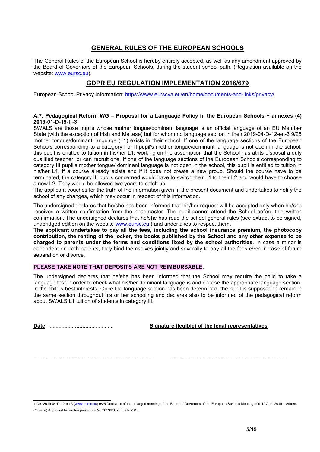### GENERAL RULES OF THE EUROPEAN SCHOOLS

The General Rules of the European School is hereby entirely accepted, as well as any amendment approved by the Board of Governors of the European Schools, during the student school path. (Regulation available on the website: www.eursc.eu).

# GDPR EU REGULATION IMPLEMENTATION 2016/679

European School Privacy Information: https://www.eurscva.eu/en/home/documents-and-links/privacy/

#### A.7. Pedagogical Reform WG – Proposal for a Language Policy in the European Schools + annexes (4)  $2019 - 01 - D - 19 - fr - 3<sup>1</sup>$

SWALS are those pupils whose mother tongue/dominant language is an official language of an EU Member State (with the exception of Irish and Maltese) but for whom no language section in their 2019-04-D-12-en-3 9/25 mother tongue/dominant language (L1) exists in their school. If one of the language sections of the European Schools corresponding to a category I or II pupil's mother tongue/dominant language is not open in the school, this pupil is entitled to tuition in his/her L1, working on the assumption that the School has at its disposal a duly qualified teacher, or can recruit one. If one of the language sections of the European Schools corresponding to category III pupil's mother tongue/ dominant language is not open in the school, this pupil is entitled to tuition in his/her L1, if a course already exists and if it does not create a new group. Should the course have to be terminated, the category III pupils concerned would have to switch their L1 to their L2 and would have to choose a new L2. They would be allowed two years to catch up.

The applicant vouches for the truth of the information given in the present document and undertakes to notify the school of any changes, which may occur in respect of this information.

The undersigned declares that he/she has been informed that his/her request will be accepted only when he/she receives a written confirmation from the headmaster. The pupil cannot attend the School before this written confirmation. The undersigned declares that he/she has read the school general rules (see extract to be signed, unabridged edition on the website www.eursc.eu ) and undertakes to respect them.

The applicant undertakes to pay all the fees, including the school insurance premium, the photocopy contribution, the renting of the locker, the books published by the School and any other expense to be charged to parents under the terms and conditions fixed by the school authorities. In case a minor is dependent on both parents, they bind themselves jointly and severally to pay all the fees even in case of future separation or divorce.

#### PLEASE TAKE NOTE THAT DEPOSITS ARE NOT REIMBURSABLE.

The undersigned declares that he/she has been informed that the School may require the child to take a language test in order to check what his/her dominant language is and choose the appropriate language section, in the child's best interests. Once the language section has been determined, the pupil is supposed to remain in the same section throughout his or her schooling and declares also to be informed of the pedagogical reform about SWALS L1 tuition of students in category III.

Date: ............................................ Signature (legible) of the legal representatives:

................................................................................. ..............................................................................

 <sup>1</sup> Cfr. 2019-04-D-12-en-3 (www.eursc.eu) 9/25 Decisions of the enlarged meeting of the Board of Governors of the European Schools Meeting of 9-12 April 2019 – Athens (Greece) Approved by written procedure No 2019/28 on 8 July 2019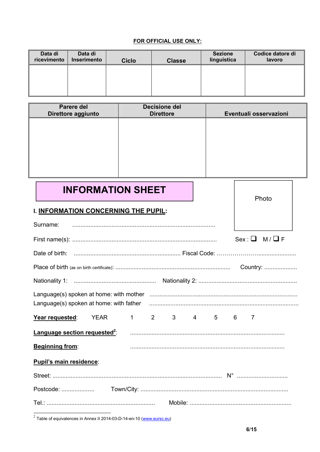#### FOR OFFICIAL USE ONLY:

| Data di<br>ricevimento | Data di<br><b>Inserimento</b> | <b>Ciclo</b> | <b>Classe</b> | <b>Sezione</b><br>linguistica | Codice datore di<br>lavoro |
|------------------------|-------------------------------|--------------|---------------|-------------------------------|----------------------------|
|                        |                               |              |               |                               |                            |
|                        |                               |              |               |                               |                            |

| Parere del<br>Direttore aggiunto | <b>Decisione del</b><br><b>Direttore</b> | Eventuali osservazioni |
|----------------------------------|------------------------------------------|------------------------|
|                                  |                                          |                        |
|                                  |                                          |                        |
|                                  |                                          |                        |
|                                  |                                          |                        |

INFORMATION SHEET

# I. INFORMATION CONCERNING THE PUPIL:

|                                                                                                      |  |  |  |  | $Sex: \Box M / \Box F$ |  |
|------------------------------------------------------------------------------------------------------|--|--|--|--|------------------------|--|
|                                                                                                      |  |  |  |  |                        |  |
|                                                                                                      |  |  |  |  |                        |  |
|                                                                                                      |  |  |  |  |                        |  |
| Language(s) spoken at home: with father (all manumanologynomic manumanologynomic manumanologynomic m |  |  |  |  |                        |  |
| Year requested: YEAR 1 2 3 4 5 6 7                                                                   |  |  |  |  |                        |  |
|                                                                                                      |  |  |  |  |                        |  |
| <b>Beginning from:</b>                                                                               |  |  |  |  |                        |  |
| Pupil's main residence:                                                                              |  |  |  |  |                        |  |
|                                                                                                      |  |  |  |  |                        |  |
|                                                                                                      |  |  |  |  |                        |  |
|                                                                                                      |  |  |  |  |                        |  |

<sup>2</sup> Table of equivalences in Annex II 2014-03-D-14-en-10 (www.eursc.eu)

Photo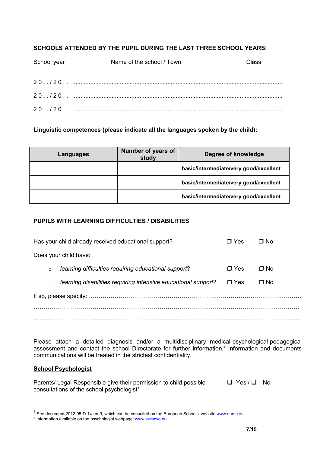### SCHOOLS ATTENDED BY THE PUPIL DURING THE LAST THREE SCHOOL YEARS:

| School year | Name of the school / Town | Class |
|-------------|---------------------------|-------|
|             |                           |       |
|             |                           |       |
|             |                           |       |
|             |                           |       |
|             |                           |       |

### Linguistic competences (please indicate all the languages spoken by the child):

| Languages | Number of years of<br>study | Degree of knowledge                    |
|-----------|-----------------------------|----------------------------------------|
|           |                             | basic/intermediate/very good/excellent |
|           |                             | basic/intermediate/very good/excellent |
|           |                             | basic/intermediate/very good/excellent |

### PUPILS WITH LEARNING DIFFICULTIES / DISABILITIES

|        | Has your child already received educational support?           | $\blacksquare$ Yes | ∩ No |
|--------|----------------------------------------------------------------|--------------------|------|
|        | Does your child have:                                          |                    |      |
| $\Box$ | learning difficulties requiring educational support?           | $\Box$ Yes         | ∩ No |
| $\Box$ | learning disabilities requiring intensive educational support? | $\Box$ Yes         | ∩ No |
|        |                                                                |                    |      |
|        |                                                                |                    |      |
|        |                                                                |                    |      |
|        |                                                                |                    |      |

Please attach a detailed diagnosis and/or a multidisciplinary medical-psychological-pedagogical assessment and contact the school Directorate for further information.<sup>3</sup> Information and documents communications will be treated in the strictest confidentiality.

### School Psychologist

Parents/ Legal Responsible give their permission to child possible  $\Box$  Yes /  $\Box$  No consultations of the school psychologist\*

 $3$  See document 2012-05-D-14-en-9, which can be consulted on the European Schools' website  $\frac{www.eursc.eu}{m}$ 

<sup>\*</sup> Information available on the psychologist webpage: www.eurscva.eu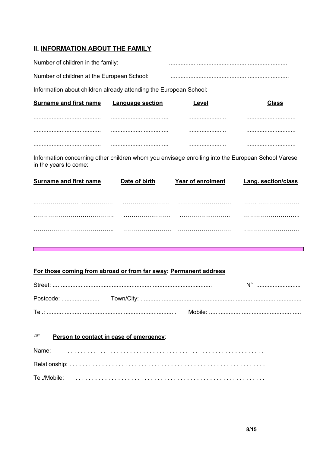### **II. INFORMATION ABOUT THE FAMILY**

| Number of children in the family:                                 |                  |       |              |
|-------------------------------------------------------------------|------------------|-------|--------------|
| Number of children at the European School:                        |                  |       |              |
| Information about children already attending the European School: |                  |       |              |
| <b>Surname and first name</b>                                     | Language section | -evel | <b>Class</b> |
|                                                                   |                  |       |              |
|                                                                   |                  |       |              |
|                                                                   |                  |       |              |

Information concerning other children whom you envisage enrolling into the European School Varese in the years to come:

| <b>Surname and first name</b> | Date of birth | <b>Year of enrolment</b> | <b>Lang. section/class</b> |
|-------------------------------|---------------|--------------------------|----------------------------|
|                               |               |                          |                            |
|                               |               |                          |                            |
|                               | .             |                          |                            |
|                               |               |                          | .                          |
|                               |               |                          |                            |

## For those coming from abroad or from far away: Permanent address

| Tel.: |  |  |
|-------|--|--|

| ☞ | Person to contact in case of emergency: |  |  |  |  |  |  |  |  |  |  |  |  |  |  |  |  |  |  |  |  |
|---|-----------------------------------------|--|--|--|--|--|--|--|--|--|--|--|--|--|--|--|--|--|--|--|--|
|   |                                         |  |  |  |  |  |  |  |  |  |  |  |  |  |  |  |  |  |  |  |  |
|   |                                         |  |  |  |  |  |  |  |  |  |  |  |  |  |  |  |  |  |  |  |  |
|   |                                         |  |  |  |  |  |  |  |  |  |  |  |  |  |  |  |  |  |  |  |  |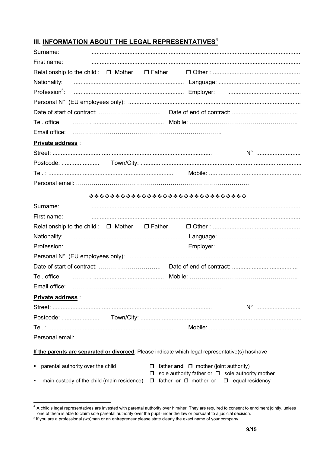# III. INFORMATION ABOUT THE LEGAL REPRESENTATIVES<sup>4</sup>

| Surname:                                                                                         |                                                                                                                 |
|--------------------------------------------------------------------------------------------------|-----------------------------------------------------------------------------------------------------------------|
| First name:                                                                                      |                                                                                                                 |
|                                                                                                  |                                                                                                                 |
| Nationality:                                                                                     |                                                                                                                 |
|                                                                                                  |                                                                                                                 |
|                                                                                                  |                                                                                                                 |
|                                                                                                  |                                                                                                                 |
|                                                                                                  |                                                                                                                 |
|                                                                                                  |                                                                                                                 |
| Private address :                                                                                |                                                                                                                 |
|                                                                                                  |                                                                                                                 |
|                                                                                                  |                                                                                                                 |
|                                                                                                  |                                                                                                                 |
|                                                                                                  |                                                                                                                 |
| ******************************                                                                   |                                                                                                                 |
| Surname:                                                                                         |                                                                                                                 |
| First name:                                                                                      |                                                                                                                 |
|                                                                                                  |                                                                                                                 |
| Nationality:                                                                                     |                                                                                                                 |
| Profession:                                                                                      |                                                                                                                 |
|                                                                                                  |                                                                                                                 |
|                                                                                                  |                                                                                                                 |
| Tel. office:                                                                                     |                                                                                                                 |
| Email office:                                                                                    |                                                                                                                 |
| Private address :                                                                                |                                                                                                                 |
|                                                                                                  |                                                                                                                 |
|                                                                                                  |                                                                                                                 |
|                                                                                                  |                                                                                                                 |
|                                                                                                  |                                                                                                                 |
| If the parents are separated or divorced: Please indicate which legal representative(s) has/have |                                                                                                                 |
| parental authority over the child<br>٠                                                           | $\Box$ father and $\Box$ mother (joint authority)                                                               |
| $\Box$<br>main custody of the child (main residence)                                             | sole authority father or □ sole authority mother<br>$\Box$ father or $\Box$ mother or<br>$\Box$ equal residency |

 $4$  A child's legal representatives are invested with parental authority over him/her. They are required to consent to enrolment jointly, unless one of them is able to claim sole parental authority over the pupil under the law or pursuant to a judicial decision.

<sup>&</sup>lt;sup>5</sup> If you are a professional (wo)man or an entrepreneur please state clearly the exact name of your company.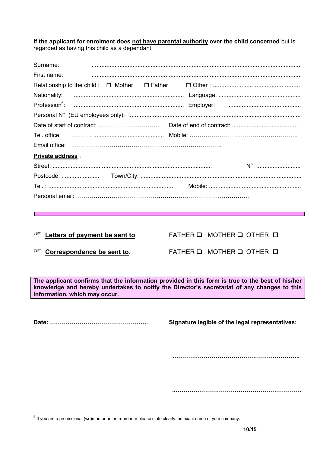If the applicant for enrolment does not have parental authority over the child concerned but is regarded as having this child as a dependant:

| Surname:                        |                                                                                                                                                                                                 |
|---------------------------------|-------------------------------------------------------------------------------------------------------------------------------------------------------------------------------------------------|
| First name:                     |                                                                                                                                                                                                 |
|                                 |                                                                                                                                                                                                 |
| Nationality:                    |                                                                                                                                                                                                 |
|                                 |                                                                                                                                                                                                 |
|                                 |                                                                                                                                                                                                 |
|                                 |                                                                                                                                                                                                 |
| Tel. office:                    |                                                                                                                                                                                                 |
|                                 |                                                                                                                                                                                                 |
| <b>Private address:</b>         |                                                                                                                                                                                                 |
|                                 |                                                                                                                                                                                                 |
|                                 |                                                                                                                                                                                                 |
|                                 |                                                                                                                                                                                                 |
|                                 |                                                                                                                                                                                                 |
|                                 |                                                                                                                                                                                                 |
|                                 |                                                                                                                                                                                                 |
|                                 |                                                                                                                                                                                                 |
| Letters of payment be sent to:  | FATHER Q MOTHER Q OTHER D                                                                                                                                                                       |
| ☞<br>Correspondence be sent to: | FATHER Q MOTHER Q OTHER D                                                                                                                                                                       |
|                                 |                                                                                                                                                                                                 |
| information, which may occur.   | The applicant confirms that the information provided in this form is true to the best of his/her<br>knowledge and hereby undertakes to notify the Director's secretariat of any changes to this |
|                                 |                                                                                                                                                                                                 |
|                                 | Signature legible of the legal representatives:                                                                                                                                                 |
|                                 |                                                                                                                                                                                                 |
|                                 |                                                                                                                                                                                                 |

 $<sup>6</sup>$  If you are a professional (wo)man or an entrepreneur please state clearly the exact name of your company.</sup>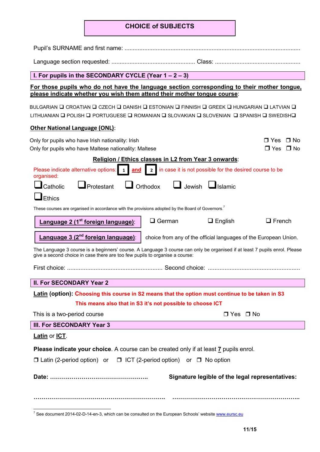# CHOICE of SUBJECTS

| I. For pupils in the SECONDARY CYCLE (Year $1 - 2 - 3$ )                                                                                                                                                  |  |  |  |  |  |  |  |  |
|-----------------------------------------------------------------------------------------------------------------------------------------------------------------------------------------------------------|--|--|--|--|--|--|--|--|
| For those pupils who do not have the language section corresponding to their mother tongue,<br>please indicate whether you wish them attend their mother tongue course:                                   |  |  |  |  |  |  |  |  |
| BULGARIAN ❑ CROATIAN ❑ CZECH ❑ DANISH ❑ ESTONIAN ❑ FINNISH ❑ GREEK ❑ HUNGARIAN ❑ LATVIAN ❑<br>LITHUANIAN ❑ POLISH ❑ PORTUGUESE ❑ ROMANIAN ❑ SLOVAKIAN ❑ SLOVENIAN □ SPANISH ❑ SWEDISH❑                    |  |  |  |  |  |  |  |  |
| <b>Other National Language (ONL):</b>                                                                                                                                                                     |  |  |  |  |  |  |  |  |
| Only for pupils who have Irish nationality: Irish<br>$\Box$ Yes<br>⊟ No<br>Only for pupils who have Maltese nationality: Maltese<br>$\Box$ Yes $\Box$ No                                                  |  |  |  |  |  |  |  |  |
| Religion / Ethics classes in L2 from Year 3 onwards:                                                                                                                                                      |  |  |  |  |  |  |  |  |
| organised:                                                                                                                                                                                                |  |  |  |  |  |  |  |  |
| $\Box$ Jewish $\Box$ Islamic<br>$\Box$ Orthodox<br>Catholic<br>$\Box$ Protestant                                                                                                                          |  |  |  |  |  |  |  |  |
| Ethics                                                                                                                                                                                                    |  |  |  |  |  |  |  |  |
| These courses are organised in accordance with the provisions adopted by the Board of Governors. <sup>7</sup>                                                                                             |  |  |  |  |  |  |  |  |
| $\Box$ German<br>Language 2 (1 <sup>st</sup> foreign language):<br>$\Box$ English<br>$\Box$ French                                                                                                        |  |  |  |  |  |  |  |  |
| Language 3 (2 <sup>nd</sup> foreign language):<br>choice from any of the official languages of the European Union.                                                                                        |  |  |  |  |  |  |  |  |
| The Language 3 course is a beginners' course. A Language 3 course can only be organised if at least 7 pupils enrol. Please<br>give a second choice in case there are too few pupils to organise a course: |  |  |  |  |  |  |  |  |
|                                                                                                                                                                                                           |  |  |  |  |  |  |  |  |
| <b>II. For SECONDARY Year 2</b>                                                                                                                                                                           |  |  |  |  |  |  |  |  |
| Latin (option): Choosing this course in S2 means that the option must continue to be taken in S3                                                                                                          |  |  |  |  |  |  |  |  |
| This means also that in S3 it's not possible to choose ICT                                                                                                                                                |  |  |  |  |  |  |  |  |
| This is a two-period course<br>$\Box$ Yes $\Box$ No                                                                                                                                                       |  |  |  |  |  |  |  |  |
| III. For SECONDARY Year 3                                                                                                                                                                                 |  |  |  |  |  |  |  |  |
| Latin or ICT.                                                                                                                                                                                             |  |  |  |  |  |  |  |  |
| Please indicate your choice. A course can be created only if at least 7 pupils enrol.                                                                                                                     |  |  |  |  |  |  |  |  |
| $\Box$ Latin (2-period option) or $\Box$ ICT (2-period option) or $\Box$ No option                                                                                                                        |  |  |  |  |  |  |  |  |
| Signature legible of the legal representatives:                                                                                                                                                           |  |  |  |  |  |  |  |  |
|                                                                                                                                                                                                           |  |  |  |  |  |  |  |  |

 $7$  See document 2014-02-D-14-en-3, which can be consulted on the European Schools' website  $www.eursc.eu$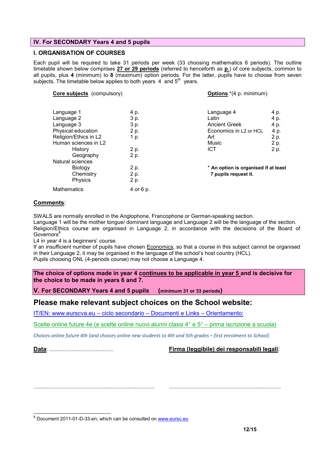#### IV. For SECONDARY Years 4 and 5 pupils

#### I. ORGANISATION OF COURSES

Each pupil will be required to take 31 periods per week (33 choosing mathematics 6 periods). The outline timetable shown below comprises 27 or 29 periods (referred to henceforth as p.) of core subjects, common to all pupils, plus 4 (minimum) to 8 (maximum) option periods. For the latter, pupils have to choose from seven subjects. The timetable below applies to both years  $4$  and  $5<sup>th</sup>$  years.

| Core subjects (compulsory) |           | <b>Options</b> *(4 p. minimum)       |      |  |  |  |
|----------------------------|-----------|--------------------------------------|------|--|--|--|
|                            |           |                                      |      |  |  |  |
| Language 1                 | 4 p.      | Language 4                           | 4 p. |  |  |  |
| Language 2                 | 3 p.      | Latin                                | 4 p. |  |  |  |
| Language 3                 | 3 p.      | <b>Ancient Greek</b>                 | 4 p. |  |  |  |
| Physical education         | 2 p.      | Economics in L <sub>2</sub> or HCL   | 4 p. |  |  |  |
| Religion/Ethics in L2      | 1 p.      | Art                                  | 2 p. |  |  |  |
| Human sciences in L2       |           | Music                                | 2 p. |  |  |  |
| History                    | 2 p.      | <b>ICT</b>                           | 2 p. |  |  |  |
| Geography                  | 2 p.      |                                      |      |  |  |  |
| Natural sciences           |           |                                      |      |  |  |  |
| Biology                    | 2 p.      | * An option is organised if at least |      |  |  |  |
| Chemistry                  | 2 p.      | 7 pupils request it.                 |      |  |  |  |
| <b>Physics</b>             | 2 p.      |                                      |      |  |  |  |
| <b>Mathematics</b>         | 4 or 6 p. |                                      |      |  |  |  |

#### Comments:

SWALS are normally enrolled in the Anglophone, Francophone or German-speaking section.

Language 1 will be the mother tongue/ dominant language and Language 2 will be the language of the section. Religion/Ethics course are organised in Language 2, in accordance with the decisions of the Board of  $Goveror^8$ 

L4 in year 4 is a beginners' course.

If an insufficient number of pupils have chosen Economics, so that a course in this subject cannot be organised in their Language 2, it may be organised in the language of the school's host country (HCL). Pupils choosing ONL (4-periods course) may not choose a Language 4.

The choice of options made in year 4 continues to be applicable in year 5 and is decisive for the choice to be made in years 6 and 7.

V. For SECONDARY Years 4 and 5 pupils (minimum 31 or 33 periods)

### Please make relevant subject choices on the School website:

IT/EN: www.eurscva.eu – ciclo secondario – Documenti e Links – Orientamento:

Scelte online future 4e (e scelte online nuovi alunni classi 4° e 5° – prima iscrizione a scuola)

*Choices online future 4th (and choices online new students to 4th and 5th grades – first enrolment to School)*

Data: ........................................... Firma (leggibile) dei responsabili legali:

................................................................................. ...........................................................................

<sup>&</sup>lt;sup>8</sup> Document 2011-01-D-33-en, which can be consulted on www.eursc.eu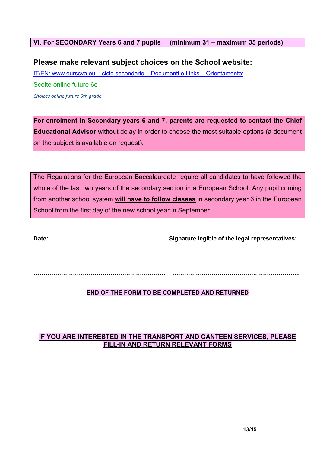### VI. For SECONDARY Years 6 and 7 pupils (minimum 31 – maximum 35 periods)

# Please make relevant subject choices on the School website:

IT/EN: www.eurscva.eu – ciclo secondario – Documenti e Links – Orientamento:

Scelte online future 6e

*Choices online future 6th grade*

For enrolment in Secondary years 6 and 7, parents are requested to contact the Chief Educational Advisor without delay in order to choose the most suitable options (a document on the subject is available on request).

The Regulations for the European Baccalaureate require all candidates to have followed the whole of the last two years of the secondary section in a European School. Any pupil coming from another school system will have to follow classes in secondary year 6 in the European School from the first day of the new school year in September.

Date: ………………………………………….. Signature legible of the legal representatives:

…………………………………………………………. ………………………………………………………..

### END OF THE FORM TO BE COMPLETED AND RETURNED

### IF YOU ARE INTERESTED IN THE TRANSPORT AND CANTEEN SERVICES, PLEASE FILL-IN AND RETURN RELEVANT FORMS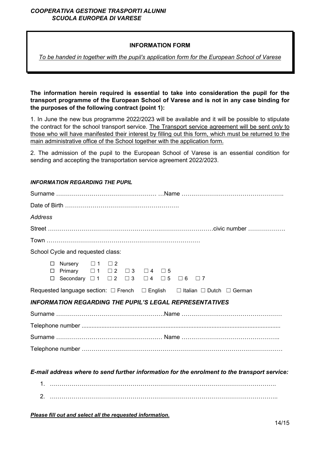#### *COOPERATIVA GESTIONE TRASPORTI ALUNNI SCUOLA EUROPEA DI VARESE*

#### INFORMATION FORM

*To be handed in together with the pupil's application form for the European School of Varese*

The information herein required is essential to take into consideration the pupil for the transport programme of the European School of Varese and is not in any case binding for the purposes of the following contract (point 1):

1. In June the new bus programme 2022/2023 will be available and it will be possible to stipulate the contract for the school transport service. The Transport service agreement will be sent *only* to those who will have manifested their interest by filling out this form, which must be returned to the main administrative office of the School together with the application form.

2. The admission of the pupil to the European School of Varese is an essential condition for sending and accepting the transportation service agreement 2022/2023.

#### *INFORMATION REGARDING THE PUPIL*

| Address                           |                                                                                                                                                                               |  |  |  |  |  |  |  |  |  |
|-----------------------------------|-------------------------------------------------------------------------------------------------------------------------------------------------------------------------------|--|--|--|--|--|--|--|--|--|
|                                   |                                                                                                                                                                               |  |  |  |  |  |  |  |  |  |
|                                   |                                                                                                                                                                               |  |  |  |  |  |  |  |  |  |
| School Cycle and requested class: |                                                                                                                                                                               |  |  |  |  |  |  |  |  |  |
|                                   | $\Box$ Nursery $\Box$ 1 $\Box$ 2<br>$\Box$ Primary $\Box$ 1 $\Box$ 2 $\Box$ 3 $\Box$ 4 $\Box$ 5<br>□ Secondary $\Box 1$ $\Box 2$ $\Box 3$ $\Box 4$ $\Box 5$ $\Box 6$ $\Box 7$ |  |  |  |  |  |  |  |  |  |
|                                   | Requested language section: $\Box$ French $\Box$ English $\Box$ Italian $\Box$ Dutch $\Box$ German                                                                            |  |  |  |  |  |  |  |  |  |
|                                   | <b>INFORMATION REGARDING THE PUPIL'S LEGAL REPRESENTATIVES</b>                                                                                                                |  |  |  |  |  |  |  |  |  |
|                                   |                                                                                                                                                                               |  |  |  |  |  |  |  |  |  |
|                                   |                                                                                                                                                                               |  |  |  |  |  |  |  |  |  |
|                                   |                                                                                                                                                                               |  |  |  |  |  |  |  |  |  |
|                                   |                                                                                                                                                                               |  |  |  |  |  |  |  |  |  |
|                                   |                                                                                                                                                                               |  |  |  |  |  |  |  |  |  |
|                                   | E-mail address where to send further information for the enrolment to the transport service:                                                                                  |  |  |  |  |  |  |  |  |  |

| <u>.</u> . |  |
|------------|--|

*Please fill out and select all the requested information.*